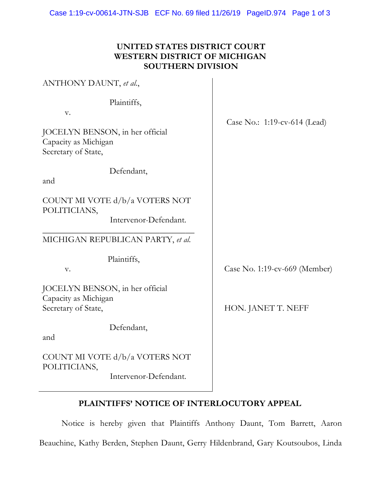#### **UNITED STATES DISTRICT COURT WESTERN DISTRICT OF MICHIGAN SOUTHERN DIVISION**

| ANTHONY DAUNT, et al.,                                                                              |                               |
|-----------------------------------------------------------------------------------------------------|-------------------------------|
| Plaintiffs,<br>V.<br>JOCELYN BENSON, in her official<br>Capacity as Michigan<br>Secretary of State, | Case No.: 1:19-cv-614 (Lead)  |
| Defendant,<br>and                                                                                   |                               |
| COUNT MI VOTE d/b/a VOTERS NOT<br>POLITICIANS,<br>Intervenor-Defendant.                             |                               |
| MICHIGAN REPUBLICAN PARTY, et al.                                                                   |                               |
| Plaintiffs,<br>V.                                                                                   | Case No. 1:19-cv-669 (Member) |
| JOCELYN BENSON, in her official<br>Capacity as Michigan<br>Secretary of State,                      | HON. JANET T. NEFF            |
| Defendant,<br>and                                                                                   |                               |
| COUNT MI VOTE d/b/a VOTERS NOT<br>POLITICIANS,<br>Intervenor-Defendant.                             |                               |

# **PLAINTIFFS' NOTICE OF INTERLOCUTORY APPEAL**

Notice is hereby given that Plaintiffs Anthony Daunt, Tom Barrett, Aaron Beauchine, Kathy Berden, Stephen Daunt, Gerry Hildenbrand, Gary Koutsoubos, Linda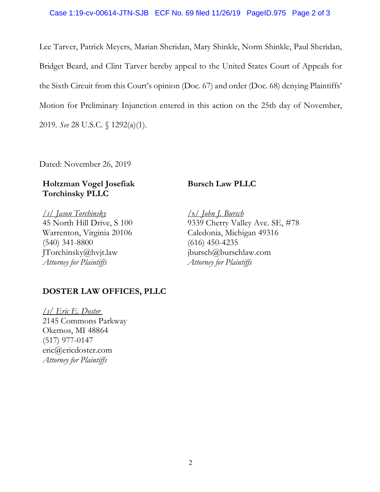Lee Tarver, Patrick Meyers, Marian Sheridan, Mary Shinkle, Norm Shinkle, Paul Sheridan, Bridget Beard, and Clint Tarver hereby appeal to the United States Court of Appeals for the Sixth Circuit from this Court's opinion (Doc. 67) and order (Doc. 68) denying Plaintiffs' Motion for Preliminary Injunction entered in this action on the 25th day of November, 2019. *See* 28 U.S.C. § 1292(a)(1).

Dated: November 26, 2019

## **Holtzman Vogel Josefiak Torchinsky PLLC**

*/s/ Jason Torchinsky* 45 North Hill Drive, S 100 Warrenton, Virginia 20106 (540) 341-8800 JTorchinsky@hvjt.law *Attorney for Plaintiffs*

## **Bursch Law PLLC**

/s/ *John J. Bursch* 9339 Cherry Valley Ave. SE, #78 Caledonia, Michigan 49316 (616) 450-4235 jbursch@burschlaw.com *Attorney for Plaintiffs*

## **DOSTER LAW OFFICES, PLLC**

*/s/ Eric E. Doster* 2145 Commons Parkway Okemos, MI 48864 (517) 977-0147 eric@ericdoster.com *Attorney for Plaintiffs*